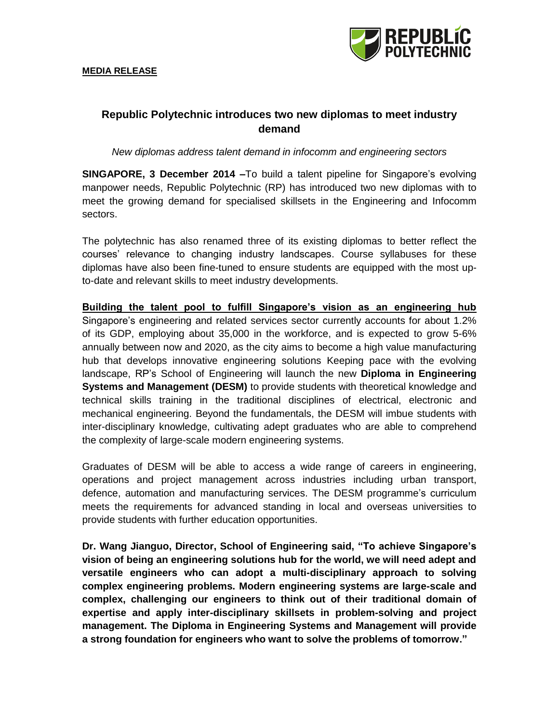

# **Republic Polytechnic introduces two new diplomas to meet industry demand**

*New diplomas address talent demand in infocomm and engineering sectors*

**SINGAPORE, 3 December 2014 –**To build a talent pipeline for Singapore's evolving manpower needs, Republic Polytechnic (RP) has introduced two new diplomas with to meet the growing demand for specialised skillsets in the Engineering and Infocomm sectors.

The polytechnic has also renamed three of its existing diplomas to better reflect the courses' relevance to changing industry landscapes. Course syllabuses for these diplomas have also been fine-tuned to ensure students are equipped with the most upto-date and relevant skills to meet industry developments.

**Building the talent pool to fulfill Singapore's vision as an engineering hub**  Singapore's engineering and related services sector currently accounts for about 1.2% of its GDP, employing about 35,000 in the workforce, and is expected to grow 5-6% annually between now and 2020, as the city aims to become a high value manufacturing hub that develops innovative engineering solutions Keeping pace with the evolving landscape, RP's School of Engineering will launch the new **Diploma in Engineering Systems and Management (DESM)** to provide students with theoretical knowledge and technical skills training in the traditional disciplines of electrical, electronic and mechanical engineering. Beyond the fundamentals, the DESM will imbue students with inter-disciplinary knowledge, cultivating adept graduates who are able to comprehend the complexity of large-scale modern engineering systems.

Graduates of DESM will be able to access a wide range of careers in engineering, operations and project management across industries including urban transport, defence, automation and manufacturing services. The DESM programme's curriculum meets the requirements for advanced standing in local and overseas universities to provide students with further education opportunities.

**Dr. Wang Jianguo, Director, School of Engineering said, "To achieve Singapore's vision of being an engineering solutions hub for the world, we will need adept and versatile engineers who can adopt a multi-disciplinary approach to solving complex engineering problems. Modern engineering systems are large-scale and complex, challenging our engineers to think out of their traditional domain of expertise and apply inter-disciplinary skillsets in problem-solving and project management. The Diploma in Engineering Systems and Management will provide a strong foundation for engineers who want to solve the problems of tomorrow."**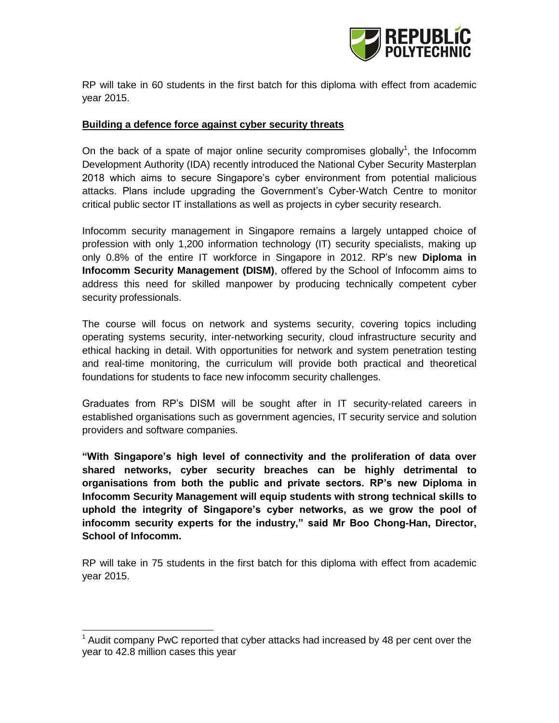

RP will take in 60 students in the first batch for this diploma with effect from academic year 2015.

#### **Building a defence force against cyber security threats**

On the back of a spate of major online security compromises globally<sup>1</sup>, the Infocomm Development Authority (IDA) recently introduced the National Cyber Security Masterplan 2018 which aims to secure Singapore's cyber environment from potential malicious attacks. Plans include upgrading the Government's Cyber-Watch Centre to monitor critical public sector IT installations as well as projects in cyber security research.

Infocomm security management in Singapore remains a largely untapped choice of profession with only 1,200 information technology (IT) security specialists, making up only 0.8% of the entire IT workforce in Singapore in 2012. RP's new **Diploma in Infocomm Security Management (DISM)**, offered by the School of Infocomm aims to address this need for skilled manpower by producing technically competent cyber security professionals.

The course will focus on network and systems security, covering topics including operating systems security, inter-networking security, cloud infrastructure security and ethical hacking in detail. With opportunities for network and system penetration testing and real-time monitoring, the curriculum will provide both practical and theoretical foundations for students to face new infocomm security challenges.

Graduates from RP's DISM will be sought after in IT security-related careers in established organisations such as government agencies, IT security service and solution providers and software companies.

**"With Singapore's high level of connectivity and the proliferation of data over shared networks, cyber security breaches can be highly detrimental to organisations from both the public and private sectors. RP's new Diploma in Infocomm Security Management will equip students with strong technical skills to uphold the integrity of Singapore's cyber networks, as we grow the pool of infocomm security experts for the industry," said Mr Boo Chong-Han, Director, School of Infocomm.** 

RP will take in 75 students in the first batch for this diploma with effect from academic year 2015.

l

 $1$  Audit company PwC reported that cyber attacks had increased by 48 per cent over the year to 42.8 million cases this year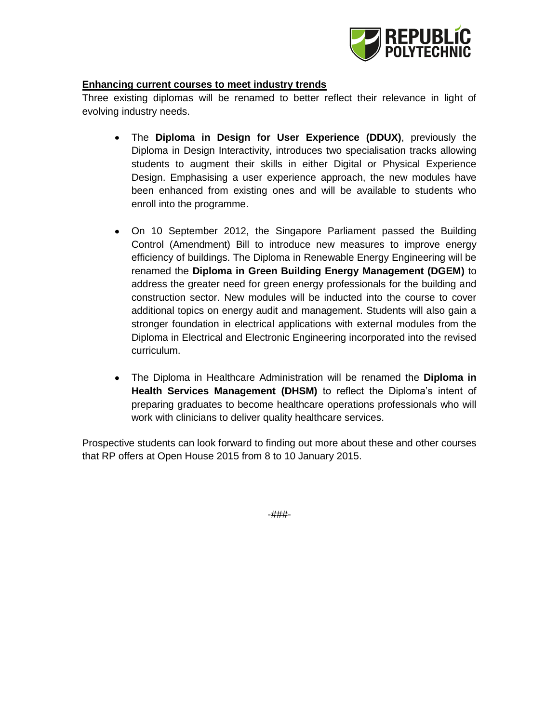

## **Enhancing current courses to meet industry trends**

Three existing diplomas will be renamed to better reflect their relevance in light of evolving industry needs.

- $\bullet$ The **Diploma in Design for User Experience (DDUX)**, previously the Diploma in Design Interactivity, introduces two specialisation tracks allowing students to augment their skills in either Digital or Physical Experience Design. Emphasising a user experience approach, the new modules have been enhanced from existing ones and will be available to students who enroll into the programme.
- On 10 September 2012, the Singapore Parliament passed the Building Control (Amendment) Bill to introduce new measures to improve energy efficiency of buildings. The Diploma in Renewable Energy Engineering will be renamed the **Diploma in Green Building Energy Management (DGEM)** to address the greater need for green energy professionals for the building and construction sector. New modules will be inducted into the course to cover additional topics on energy audit and management. Students will also gain a stronger foundation in electrical applications with external modules from the Diploma in Electrical and Electronic Engineering incorporated into the revised curriculum.
- The Diploma in Healthcare Administration will be renamed the **Diploma in Health Services Management (DHSM)** to reflect the Diploma's intent of preparing graduates to become healthcare operations professionals who will work with clinicians to deliver quality healthcare services.

Prospective students can look forward to finding out more about these and other courses that RP offers at Open House 2015 from 8 to 10 January 2015.

-###-